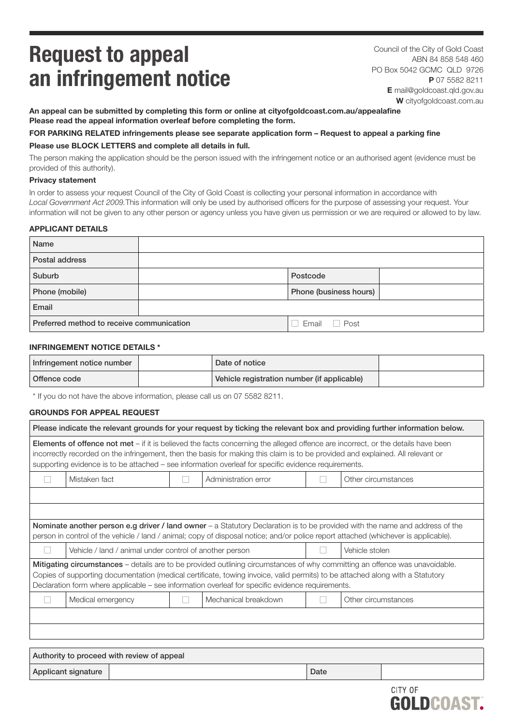# Request to appeal an infringement notice

Council of the City of Gold Coast ABN 84 858 548 460 PO Box 5042 GCMC QLD 9726 P 07 5582 8211 E [mail@goldcoast.qld.gov.au](mailto:mail%40goldcoast.qld.gov.au?subject=Request%20to%20appeal%20a%20parking%20fine) W [cityofgoldcoast.com.au](https://new.goldcoast.qld.gov.au/Home)

An appeal can be submitted by completing this form or online at [cityofgoldcoast.com.au/appealafine](https://www.goldcoast.qld.gov.au/Services/Report-pay-apply/Appeal-an-infringement-notice) Please read the appeal information overleaf before completing the form.

### FOR PARKING RELATED infringements please see separate application form – [Request to appeal a parking fine](https://new.goldcoast.qld.gov.au/Services/Roads-transport-parking/Parking/Parking-fines/Appeal-a-parking-fine) Please use BLOCK LETTERS and complete all details in full.

The person making the application should be the person issued with the infringement notice or an authorised agent (evidence must be provided of this authority).

#### Privacy statement

In order to assess your request Council of the City of Gold Coast is collecting your personal information in accordance with *Local Government Act 2009.*This information will only be used by authorised officers for the purpose of assessing your request. Your information will not be given to any other person or agency unless you have given us permission or we are required or allowed to by law.

### APPLICANT DETAILS

| Name                                                      |  |                        |  |
|-----------------------------------------------------------|--|------------------------|--|
| Postal address                                            |  |                        |  |
| Suburb                                                    |  | Postcode               |  |
| Phone (mobile)                                            |  | Phone (business hours) |  |
| Email                                                     |  |                        |  |
| Preferred method to receive communication<br>Email □ Post |  |                        |  |

### INFRINGEMENT NOTICE DETAILS \*

| Infringement notice number | Date of notice                              |  |
|----------------------------|---------------------------------------------|--|
| Offence code               | Vehicle registration number (if applicable) |  |

\* If you do not have the above information, please call us on 07 5582 8211.

### GROUNDS FOR APPEAL REQUEST

| Please indicate the relevant grounds for your request by ticking the relevant box and providing further information below.                                                                                                                                                                                                                                                  |                                                                           |  |                      |  |                     |
|-----------------------------------------------------------------------------------------------------------------------------------------------------------------------------------------------------------------------------------------------------------------------------------------------------------------------------------------------------------------------------|---------------------------------------------------------------------------|--|----------------------|--|---------------------|
| Elements of offence not met - if it is believed the facts concerning the alleged offence are incorrect, or the details have been<br>incorrectly recorded on the infringement, then the basis for making this claim is to be provided and explained. All relevant or<br>supporting evidence is to be attached – see information overleaf for specific evidence requirements. |                                                                           |  |                      |  |                     |
|                                                                                                                                                                                                                                                                                                                                                                             | Mistaken fact                                                             |  | Administration error |  | Other circumstances |
|                                                                                                                                                                                                                                                                                                                                                                             |                                                                           |  |                      |  |                     |
|                                                                                                                                                                                                                                                                                                                                                                             |                                                                           |  |                      |  |                     |
| Nominate another person e.g driver / land owner – a Statutory Declaration is to be provided with the name and address of the<br>person in control of the vehicle / land / animal; copy of disposal notice; and/or police report attached (whichever is applicable).                                                                                                         |                                                                           |  |                      |  |                     |
|                                                                                                                                                                                                                                                                                                                                                                             | Vehicle stolen<br>Vehicle / land / animal under control of another person |  |                      |  |                     |
| Mitigating circumstances - details are to be provided outlining circumstances of why committing an offence was unavoidable.<br>Copies of supporting documentation (medical certificate, towing invoice, valid permits) to be attached along with a Statutory<br>Declaration form where applicable – see information overleaf for specific evidence requirements.            |                                                                           |  |                      |  |                     |
|                                                                                                                                                                                                                                                                                                                                                                             | Medical emergency                                                         |  | Mechanical breakdown |  | Other circumstances |
|                                                                                                                                                                                                                                                                                                                                                                             |                                                                           |  |                      |  |                     |
|                                                                                                                                                                                                                                                                                                                                                                             |                                                                           |  |                      |  |                     |
|                                                                                                                                                                                                                                                                                                                                                                             |                                                                           |  |                      |  |                     |

| Authority to proceed with review of appeal |  |      |  |  |
|--------------------------------------------|--|------|--|--|
| Applicant signature                        |  | Date |  |  |
|                                            |  |      |  |  |

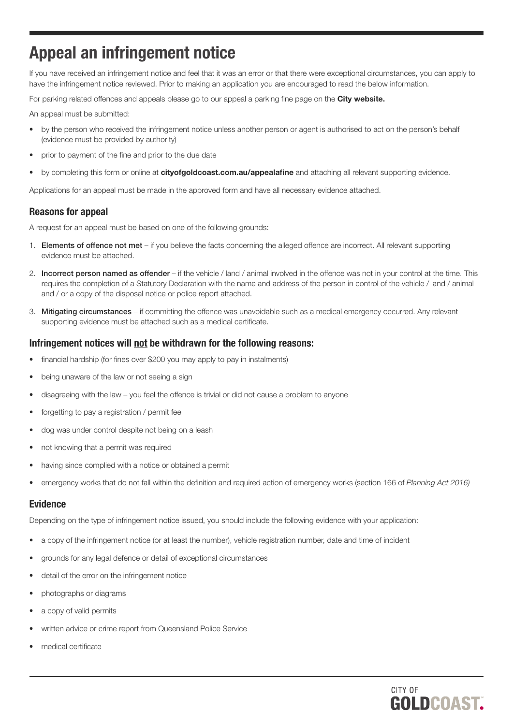# Appeal an infringement notice

If you have received an infringement notice and feel that it was an error or that there were exceptional circumstances, you can apply to have the infringement notice reviewed. Prior to making an application you are encouraged to read the below information.

For parking related offences and appeals please go to our appeal a parking fine page on the [City website.](https://new.goldcoast.qld.gov.au/Services/Roads-transport-parking/Parking/Parking-fines)

An appeal must be submitted:

- by the person who received the infringement notice unless another person or agent is authorised to act on the person's behalf (evidence must be provided by authority)
- prior to payment of the fine and prior to the due date
- by completing this form or online at [cityofgoldcoast.com.au/appealafine](https://www.goldcoast.qld.gov.au/Services/Report-pay-apply/Appeal-an-infringement-notice) and attaching all relevant supporting evidence.

Applications for an appeal must be made in the approved form and have all necessary evidence attached.

## Reasons for appeal

A request for an appeal must be based on one of the following grounds:

- 1. Elements of offence not met if you believe the facts concerning the alleged offence are incorrect. All relevant supporting evidence must be attached.
- 2. Incorrect person named as offender if the vehicle / land / animal involved in the offence was not in your control at the time. This requires the completion of a Statutory Declaration with the name and address of the person in control of the vehicle / land / animal and / or a copy of the disposal notice or police report attached.
- 3. Mitigating circumstances if committing the offence was unavoidable such as a medical emergency occurred. Any relevant supporting evidence must be attached such as a medical certificate.

### Infringement notices will not be withdrawn for the following reasons:

- financial hardship (for fines over \$200 you may apply to pay in instalments)
- being unaware of the law or not seeing a sign
- disagreeing with the law you feel the offence is trivial or did not cause a problem to anyone
- forgetting to pay a registration / permit fee
- dog was under control despite not being on a leash
- not knowing that a permit was required
- having since complied with a notice or obtained a permit
- emergency works that do not fall within the definition and required action of emergency works (section 166 of *Planning Act 2016)*

### Evidence

Depending on the type of infringement notice issued, you should include the following evidence with your application:

- a copy of the infringement notice (or at least the number), vehicle registration number, date and time of incident
- grounds for any legal defence or detail of exceptional circumstances
- detail of the error on the infringement notice
- photographs or diagrams
- a copy of valid permits
- written advice or crime report from Queensland Police Service
- medical certificate